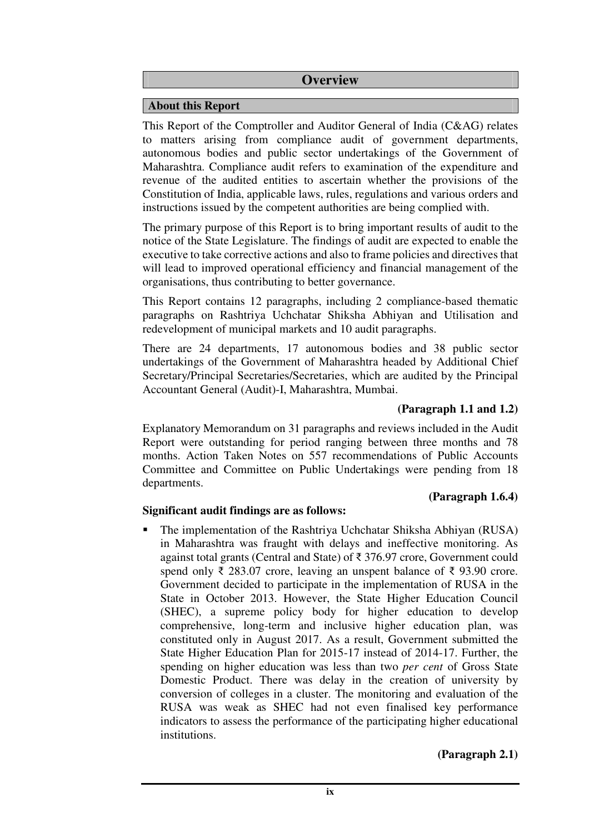## **Overview**

### **About this Report**

This Report of the Comptroller and Auditor General of India (C&AG) relates to matters arising from compliance audit of government departments, autonomous bodies and public sector undertakings of the Government of Maharashtra. Compliance audit refers to examination of the expenditure and revenue of the audited entities to ascertain whether the provisions of the Constitution of India, applicable laws, rules, regulations and various orders and instructions issued by the competent authorities are being complied with.

The primary purpose of this Report is to bring important results of audit to the notice of the State Legislature. The findings of audit are expected to enable the executive to take corrective actions and also to frame policies and directives that will lead to improved operational efficiency and financial management of the organisations, thus contributing to better governance.

This Report contains 12 paragraphs, including 2 compliance-based thematic paragraphs on Rashtriya Uchchatar Shiksha Abhiyan and Utilisation and redevelopment of municipal markets and 10 audit paragraphs.

There are 24 departments, 17 autonomous bodies and 38 public sector undertakings of the Government of Maharashtra headed by Additional Chief Secretary/Principal Secretaries/Secretaries, which are audited by the Principal Accountant General (Audit)-I, Maharashtra, Mumbai.

### **(Paragraph 1.1 and 1.2)**

Explanatory Memorandum on 31 paragraphs and reviews included in the Audit Report were outstanding for period ranging between three months and 78 months. Action Taken Notes on 557 recommendations of Public Accounts Committee and Committee on Public Undertakings were pending from 18 departments.

#### **(Paragraph 1.6.4)**

#### **Significant audit findings are as follows:**

 The implementation of the Rashtriya Uchchatar Shiksha Abhiyan (RUSA) in Maharashtra was fraught with delays and ineffective monitoring. As against total grants (Central and State) of ₹ 376.97 crore, Government could spend only  $\bar{\tau}$  283.07 crore, leaving an unspent balance of  $\bar{\tau}$  93.90 crore. Government decided to participate in the implementation of RUSA in the State in October 2013. However, the State Higher Education Council (SHEC), a supreme policy body for higher education to develop comprehensive, long-term and inclusive higher education plan, was constituted only in August 2017. As a result, Government submitted the State Higher Education Plan for 2015-17 instead of 2014-17. Further, the spending on higher education was less than two *per cent* of Gross State Domestic Product. There was delay in the creation of university by conversion of colleges in a cluster. The monitoring and evaluation of the RUSA was weak as SHEC had not even finalised key performance indicators to assess the performance of the participating higher educational institutions.

## **(Paragraph 2.1)**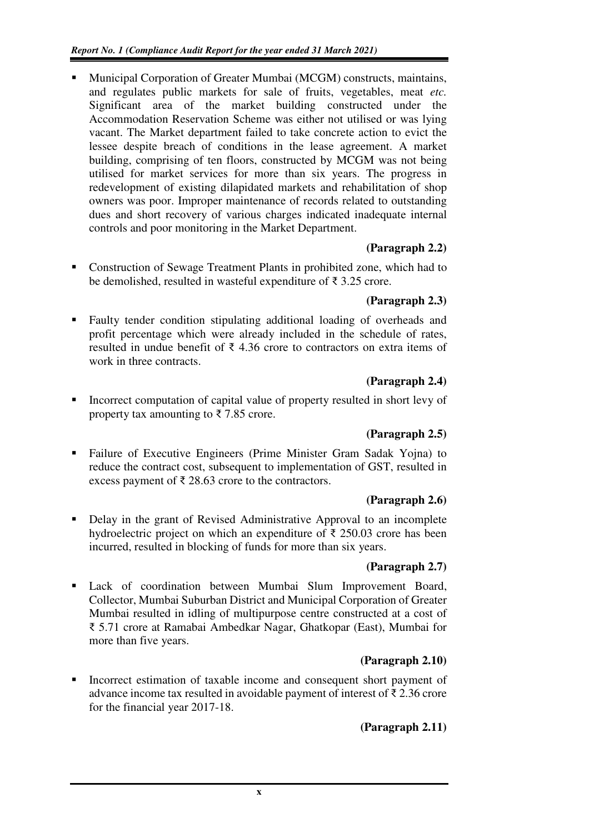Municipal Corporation of Greater Mumbai (MCGM) constructs, maintains, and regulates public markets for sale of fruits, vegetables, meat *etc.*  Significant area of the market building constructed under the Accommodation Reservation Scheme was either not utilised or was lying vacant. The Market department failed to take concrete action to evict the lessee despite breach of conditions in the lease agreement. A market building, comprising of ten floors, constructed by MCGM was not being utilised for market services for more than six years. The progress in redevelopment of existing dilapidated markets and rehabilitation of shop owners was poor. Improper maintenance of records related to outstanding dues and short recovery of various charges indicated inadequate internal controls and poor monitoring in the Market Department.

## **(Paragraph 2.2)**

 Construction of Sewage Treatment Plants in prohibited zone, which had to be demolished, resulted in wasteful expenditure of ₹ 3.25 crore.

## **(Paragraph 2.3)**

 Faulty tender condition stipulating additional loading of overheads and profit percentage which were already included in the schedule of rates, resulted in undue benefit of  $\bar{\tau}$  4.36 crore to contractors on extra items of work in three contracts.

# **(Paragraph 2.4)**

 Incorrect computation of capital value of property resulted in short levy of property tax amounting to  $\bar{\tau}$  7.85 crore.

## **(Paragraph 2.5)**

 Failure of Executive Engineers (Prime Minister Gram Sadak Yojna) to reduce the contract cost, subsequent to implementation of GST, resulted in excess payment of  $\bar{\tau}$  28.63 crore to the contractors.

## **(Paragraph 2.6)**

 Delay in the grant of Revised Administrative Approval to an incomplete hydroelectric project on which an expenditure of  $\bar{\tau}$  250.03 crore has been incurred, resulted in blocking of funds for more than six years.

## **(Paragraph 2.7)**

 Lack of coordination between Mumbai Slum Improvement Board, Collector, Mumbai Suburban District and Municipal Corporation of Greater Mumbai resulted in idling of multipurpose centre constructed at a cost of ₹ 5.71 crore at Ramabai Ambedkar Nagar, Ghatkopar (East), Mumbai for more than five years.

## **(Paragraph 2.10)**

 Incorrect estimation of taxable income and consequent short payment of advance income tax resulted in avoidable payment of interest of ₹ 2.36 crore for the financial year 2017-18.

# **(Paragraph 2.11)**